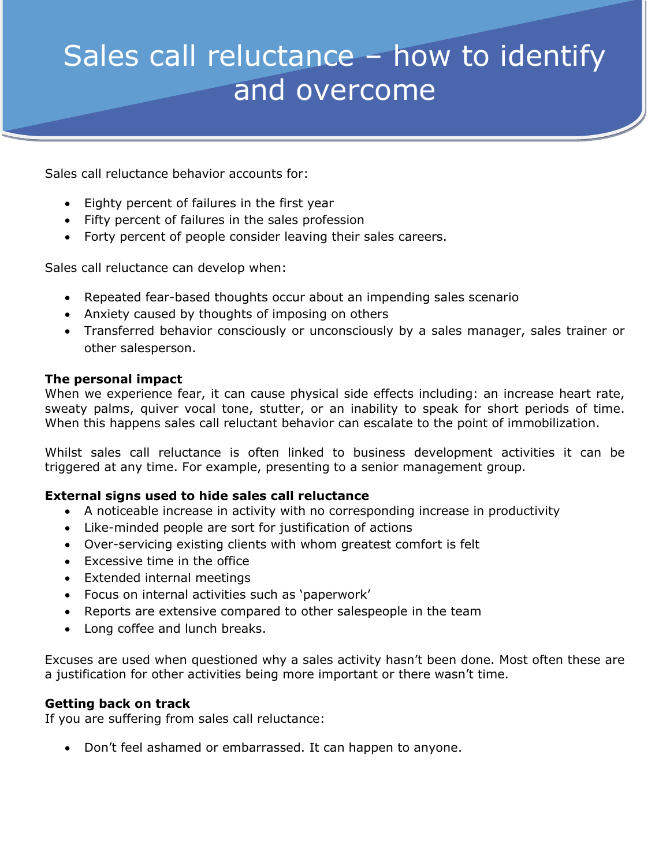## Sales call reluctance – how to identify and overcome

Sales call reluctance behavior accounts for:

- Eighty percent of failures in the first year
- Fifty percent of failures in the sales profession
- Forty percent of people consider leaving their sales careers.

Sales call reluctance can develop when:

- Repeated fear-based thoughts occur about an impending sales scenario
- Anxiety caused by thoughts of imposing on others
- Transferred behavior consciously or unconsciously by a sales manager, sales trainer or other salesperson.

## **The personal impact**

When we experience fear, it can cause physical side effects including: an increase heart rate, sweaty palms, quiver vocal tone, stutter, or an inability to speak for short periods of time. When this happens sales call reluctant behavior can escalate to the point of immobilization.

Whilst sales call reluctance is often linked to business development activities it can be triggered at any time. For example, presenting to a senior management group.

## **External signs used to hide sales call reluctance**

- A noticeable increase in activity with no corresponding increase in productivity
- Like-minded people are sort for justification of actions
- Over-servicing existing clients with whom greatest comfort is felt
- Excessive time in the office
- Extended internal meetings
- Focus on internal activities such as 'paperwork'
- Reports are extensive compared to other salespeople in the team
- Long coffee and lunch breaks.

Excuses are used when questioned why a sales activity hasn't been done. Most often these are a justification for other activities being more important or there wasn't time.

## **Getting back on track**

If you are suffering from sales call reluctance:

• Don't feel ashamed or embarrassed. It can happen to anyone.